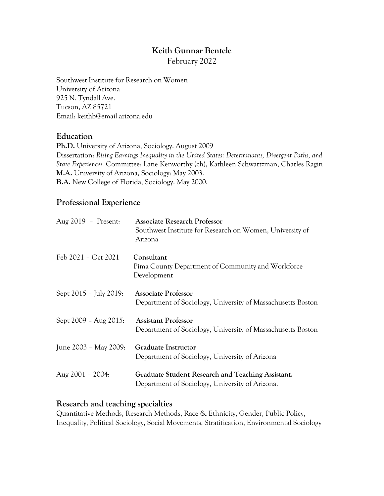# **Keith Gunnar Bentele**

February 2022

Southwest Institute for Research on Women University of Arizona 925 N. Tyndall Ave. Tucson, AZ 85721 Email: [keithb@email.arizona.edu](mailto:keithb@email.arizona.edu)

### **Education**

**Ph.D.** University of Arizona, Sociology: August 2009 Dissertation: *Rising Earnings Inequality in the United States: Determinants, Divergent Paths, and State Experiences.* Committee: Lane Kenworthy (ch), Kathleen Schwartzman, Charles Ragin **M.A.** University of Arizona, Sociology: May 2003. **B.A.** New College of Florida, Sociology: May 2000.

## **Professional Experience**

| Aug 2019 - Present:    | <b>Associate Research Professor</b><br>Southwest Institute for Research on Women, University of<br>Arizona |
|------------------------|------------------------------------------------------------------------------------------------------------|
| Feb 2021 - Oct 2021    | Consultant<br>Pima County Department of Community and Workforce<br>Development                             |
| Sept 2015 - July 2019: | <b>Associate Professor</b><br>Department of Sociology, University of Massachusetts Boston                  |
| Sept 2009 - Aug 2015:  | <b>Assistant Professor</b><br>Department of Sociology, University of Massachusetts Boston                  |
| June 2003 - May 2009:  | <b>Graduate Instructor</b><br>Department of Sociology, University of Arizona                               |
| Aug 2001 - 2004:       | Graduate Student Research and Teaching Assistant.<br>Department of Sociology, University of Arizona.       |

### **Research and teaching specialties**

Quantitative Methods, Research Methods, Race & Ethnicity, Gender, Public Policy, Inequality, Political Sociology, Social Movements, Stratification, Environmental Sociology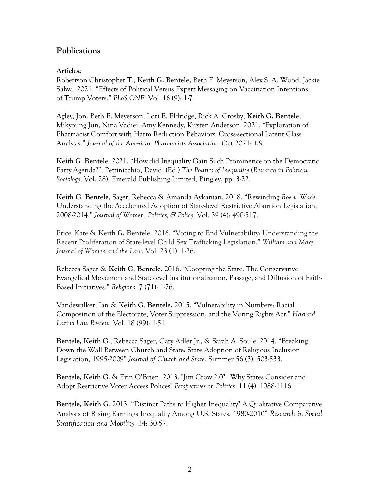## **Publications**

### **Articles:**

Robertson Christopher T., **Keith G. Bentele,** Beth E. Meyerson, Alex S. A. Wood, Jackie Salwa. 2021. "Effects of Political Versus Expert Messaging on Vaccination Intentions of Trump Voters." *PLoS ONE.* Vol. 16 (9): 1-7.

Agley, Jon. Beth E. Meyerson, Lori E. Eldridge, Rick A. Crosby, **Keith G. Bentele**, Mikyoung Jun, Nina Vadiei, Amy Kennedy, Kirsten Anderson. 2021. "Exploration of Pharmacist Comfort with Harm Reduction Behaviors: Cross-sectional Latent Class Analysis." *Journal of the American Pharmacists Association.* Oct 2021: 1-9.

**Keith G**. **Bentele**. 2021. "How did Inequality Gain Such Prominence on the Democratic Party Agenda?", Pettinicchio, David. (Ed.) *The Politics of Inequality* (*Research in Political Sociology*, Vol. 28), Emerald Publishing Limited, Bingley, pp. 3-22.

**Keith G**. **Bentele**, Sager, Rebecca & Amanda Aykanian. 2018. "Rewinding *Roe v. Wade*: Understanding the Accelerated Adoption of State-level Restrictive Abortion Legislation, 2008-2014." *Journal of Women, Politics, & Policy.* Vol. 39 (4): 490-517.

Price, Kate & **Keith G. Bentele**. 2016. "Voting to End Vulnerability: Understanding the Recent Proliferation of State-level Child Sex Trafficking Legislation." *William and Mary Journal of Women and the Law*. Vol. 23 (1): 1-26.

Rebecca Sager & **Keith G**. **Bentele.** 2016. "Coopting the State: The Conservative Evangelical Movement and State-level Institutionalization, Passage, and Diffusion of Faith-Based Initiatives." *Religions.* 7 (71): 1-26.

Vandewalker, Ian & **Keith G**. **Bentele.** 2015. "Vulnerability in Numbers: Racial Composition of the Electorate, Voter Suppression, and the Voting Rights Act." *Harvard Latino Law Review.* Vol. 18 (99): 1-51.

**Bentele, Keith G**., Rebecca Sager, Gary Adler Jr., & Sarah A. Soule. 2014. "Breaking Down the Wall Between Church and State: State Adoption of Religious Inclusion Legislation, 1995-2009" *Journal of Church and State*. Summer 56 (3): 503-533.

**Bentele, Keith G**. & Erin O'Brien. 2013. "Jim Crow 2.0?: Why States Consider and Adopt Restrictive Voter Access Polices" *Perspectives on Politics*. 11 (4): 1088-1116.

**Bentele, Keith G**. 2013. "Distinct Paths to Higher Inequality? A Qualitative Comparative Analysis of Rising Earnings Inequality Among U.S. States, 1980-2010" *Research in Social Stratification and Mobility.* 34: 30-57.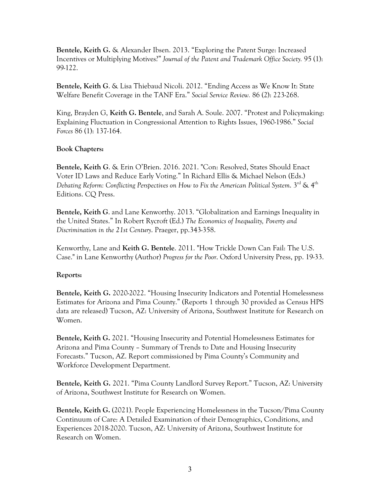**Bentele, Keith G.** & Alexander Ibsen. 2013. "Exploring the Patent Surge: Increased Incentives or Multiplying Motives?" *Journal of the Patent and Trademark Office Society.* 95 (1): 99-122.

**Bentele, Keith G**. & Lisa Thiebaud Nicoli. 2012. "Ending Access as We Know It: State Welfare Benefit Coverage in the TANF Era." *Social Service Review.* 86 (2): 223-268.

King, Brayden G, **Keith G. Bentele**, and Sarah A. Soule. 2007. "Protest and Policymaking: Explaining Fluctuation in Congressional Attention to Rights Issues, 1960-1986." *Social Forces* 86 (1): 137-164.

### **Book Chapters:**

**Bentele, Keith G**. & Erin O'Brien. 2016. 2021. "Con: Resolved, States Should Enact Voter ID Laws and Reduce Early Voting." In Richard Ellis & Michael Nelson (Eds.) *Debating Reform: Conflicting Perspectives on How to Fix the American Political System*. 3rd & 4th Editions. CQ Press.

**Bentele, Keith G**. and Lane Kenworthy. 2013. "Globalization and Earnings Inequality in the United States." In Robert Rycroft (Ed.) *The Economics of Inequality, Poverty and Discrimination in the 21st Century*. Praeger, pp.343-358.

Kenworthy, Lane and **Keith G. Bentele**. 2011. "How Trickle Down Can Fail: The U.S. Case." in Lane Kenworthy (Author) *Progress for the Poor*. Oxford University Press, pp. 19-33.

### **Reports:**

**Bentele, Keith G.** 2020-2022. "Housing Insecurity Indicators and Potential Homelessness Estimates for Arizona and Pima County." (Reports 1 through 30 provided as Census HPS data are released) Tucson, AZ: University of Arizona, Southwest Institute for Research on Women.

**Bentele, Keith G.** 2021. "Housing Insecurity and Potential Homelessness Estimates for Arizona and Pima County – Summary of Trends to Date and Housing Insecurity Forecasts." Tucson, AZ. Report commissioned by Pima County's Community and Workforce Development Department.

**Bentele, Keith G.** 2021. "Pima County Landlord Survey Report." Tucson, AZ: University of Arizona, Southwest Institute for Research on Women.

**Bentele, Keith G.** (2021). People Experiencing Homelessness in the Tucson/Pima County Continuum of Care: A Detailed Examination of their Demographics, Conditions, and Experiences 2018-2020. Tucson, AZ: University of Arizona, Southwest Institute for Research on Women.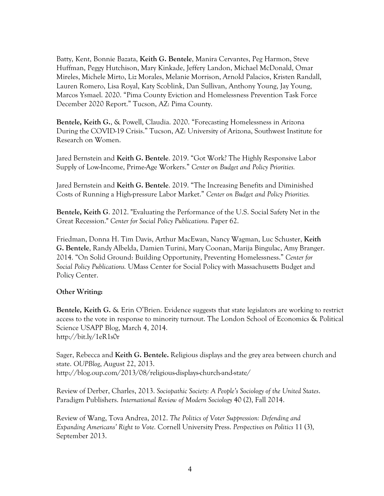Batty, Kent, Bonnie Bazata, **Keith G. Bentele**, Manira Cervantes, Peg Harmon, Steve Huffman, Peggy Hutchison, Mary Kinkade, Jeffery Landon, Michael McDonald, Omar Mireles, Michele Mirto, Liz Morales, Melanie Morrison, Arnold Palacios, Kristen Randall, Lauren Romero, Lisa Royal, Katy Scoblink, Dan Sullivan, Anthony Young, Jay Young, Marcos Ysmael. 2020. "Pima County Eviction and Homelessness Prevention Task Force December 2020 Report." Tucson, AZ: Pima County.

**Bentele, Keith G.**, & Powell, Claudia. 2020. "Forecasting Homelessness in Arizona During the COVID-19 Crisis." Tucson, AZ: University of Arizona, Southwest Institute for Research on Women.

Jared Bernstein and **Keith G. Bentele**. 2019. "Got Work? The Highly Responsive Labor Supply of Low-Income, Prime-Age Workers." *Center on Budget and Policy Priorities.*

Jared Bernstein and **Keith G. Bentele**. 2019. "The Increasing Benefits and Diminished Costs of Running a High-pressure Labor Market." *Center on Budget and Policy Priorities.*

**Bentele, Keith G**. 2012. "Evaluating the Performance of the U.S. Social Safety Net in the Great Recession." *Center for Social Policy Publications.* Paper 62.

Friedman, Donna H. Tim Davis, Arthur MacEwan, Nancy Wagman, Luc Schuster, **Keith G. Bentele**, Randy Albelda, Damien Turini, Mary Coonan, Marija Bingulac, Amy Branger. 2014. "On Solid Ground: Building Opportunity, Preventing Homelessness." *Center for Social Policy Publications.* UMass Center for Social Policy with Massachusetts Budget and Policy Center.

### **Other Writing:**

**Bentele, Keith G.** & Erin O'Brien. Evidence suggests that state legislators are working to restrict access to the vote in response to minority turnout. The London School of Economics & Political Science USAPP Blog, March 4, 2014. <http://bit.ly/1eR1s0r>

Sager, Rebecca and **Keith G. Bentele.** Religious displays and the grey area between church and state. *OUPBlog*, August 22, 2013. <http://blog.oup.com/2013/08/religious-displays-church-and-state/>

Review of Derber, Charles, 2013. *Sociopathic Society: A People's Sociology of the United States*. Paradigm Publishers. *International Review of Modern Sociology* 40 (2), Fall 2014.

Review of Wang, Tova Andrea, 2012. *The Politics of Voter Suppression: Defending and Expanding Americans' Right to Vote.* Cornell University Press. *Perspectives on Politics* 11 (3), September 2013.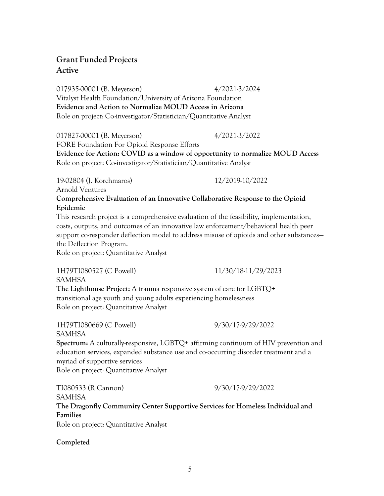# **Grant Funded Projects Active**

017935-00001 (B. Meyerson) 4/2021-3/2024 Vitalyst Health Foundation/University of Arizona Foundation **Evidence and Action to Normalize MOUD Access in Arizona**  Role on project: Co-investigator/Statistician/Quantitative Analyst

017827-00001 (B. Meyerson) 4/2021-3/2022 FORE Foundation For Opioid Response Efforts **Evidence for Action: COVID as a window of opportunity to normalize MOUD Access** Role on project: Co-investigator/Statistician/Quantitative Analyst

19-02804 (J. Korchmaros) 12/2019-10/2022 Arnold Ventures **Comprehensive Evaluation of an Innovative Collaborative Response to the Opioid Epidemic**

This research project is a comprehensive evaluation of the feasibility, implementation, costs, outputs, and outcomes of an innovative law enforcement/behavioral health peer support co-responder deflection model to address misuse of opioids and other substances the Deflection Program.

Role on project: Quantitative Analyst

1H79TI080527 (C Powell) 11/30/18-11/29/2023 SAMHSA **The Lighthouse Project:** A trauma responsive system of care for LGBTQ+ transitional age youth and young adults experiencing homelessness Role on project: Quantitative Analyst

1H79TI080669 (C Powell) 9/30/17-9/29/2022 SAMHSA **Spectrum:** A culturally-responsive, LGBTQ+ affirming continuum of HIV prevention and education services, expanded substance use and co-occurring disorder treatment and a myriad of supportive services Role on project: Quantitative Analyst

TI080533 (R Cannon) 9/30/17-9/29/2022 SAMHSA **The Dragonfly Community Center Supportive Services for Homeless Individual and Families** Role on project: Quantitative Analyst

**Completed**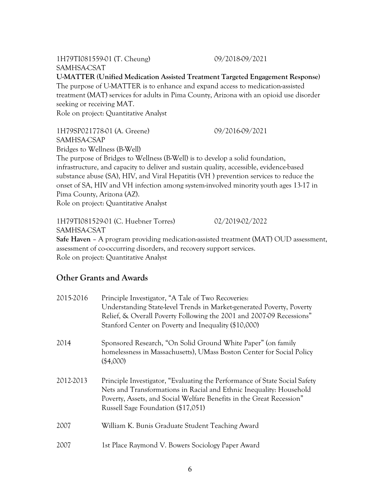1H79TI081559-01 (T. Cheung) 09/2018-09/2021 SAMHSA-CSAT

**U-MATTER (Unified Medication Assisted Treatment Targeted Engagement Response)** 

The purpose of U-MATTER is to enhance and expand access to medication-assisted treatment (MAT) services for adults in Pima County, Arizona with an opioid use disorder seeking or receiving MAT.

Role on project: Quantitative Analyst

1H79SP021778-01 (A. Greene) 09/2016-09/2021 SAMHSA-CSAP Bridges to Wellness (B-Well) The purpose of Bridges to Wellness (B-Well) is to develop a solid foundation,

infrastructure, and capacity to deliver and sustain quality, accessible, evidence-based substance abuse (SA), HIV, and Viral Hepatitis (VH ) prevention services to reduce the onset of SA, HIV and VH infection among system-involved minority youth ages 13-17 in Pima County, Arizona (AZ).

Role on project: Quantitative Analyst

1H79TI081529-01 (C. Huebner Torres) 02/2019-02/2022 SAMHSA-CSAT **Safe Haven** – A program providing medication-assisted treatment (MAT) OUD assessment, assessment of co-occurring disorders, and recovery support services.

Role on project: Quantitative Analyst

# **Other Grants and Awards**

| 2015-2016 | Principle Investigator, "A Tale of Two Recoveries:<br>Understanding State-level Trends in Market-generated Poverty, Poverty<br>Relief, & Overall Poverty Following the 2001 and 2007-09 Recessions"<br>Stanford Center on Poverty and Inequality (\$10,000)     |
|-----------|-----------------------------------------------------------------------------------------------------------------------------------------------------------------------------------------------------------------------------------------------------------------|
| 2014      | Sponsored Research, "On Solid Ground White Paper" (on family<br>homelessness in Massachusetts), UMass Boston Center for Social Policy<br>(\$4,000)                                                                                                              |
| 2012-2013 | Principle Investigator, "Evaluating the Performance of State Social Safety<br>Nets and Transformations in Racial and Ethnic Inequality: Household<br>Poverty, Assets, and Social Welfare Benefits in the Great Recession"<br>Russell Sage Foundation (\$17,051) |
| 2007      | William K. Bunis Graduate Student Teaching Award                                                                                                                                                                                                                |
| 2007      | 1st Place Raymond V. Bowers Sociology Paper Award                                                                                                                                                                                                               |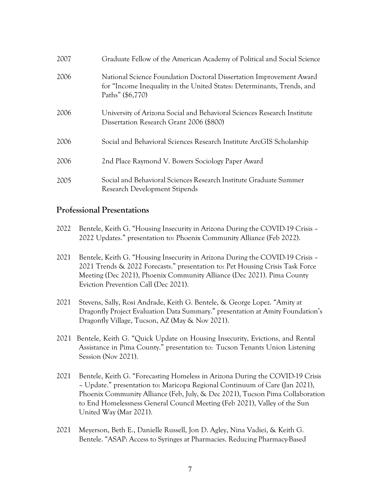| 2007 | Graduate Fellow of the American Academy of Political and Social Science                                                                                           |
|------|-------------------------------------------------------------------------------------------------------------------------------------------------------------------|
| 2006 | National Science Foundation Doctoral Dissertation Improvement Award<br>for "Income Inequality in the United States: Determinants, Trends, and<br>Paths" (\$6,770) |
| 2006 | University of Arizona Social and Behavioral Sciences Research Institute<br>Dissertation Research Grant 2006 (\$800)                                               |
| 2006 | Social and Behavioral Sciences Research Institute ArcGIS Scholarship                                                                                              |
| 2006 | 2nd Place Raymond V. Bowers Sociology Paper Award                                                                                                                 |
| 2005 | Social and Behavioral Sciences Research Institute Graduate Summer<br>Research Development Stipends                                                                |

## **Professional Presentations**

- 2022 Bentele, Keith G. "Housing Insecurity in Arizona During the COVID-19 Crisis 2022 Updates." presentation to: Phoenix Community Alliance (Feb 2022).
- 2021 Bentele, Keith G. "Housing Insecurity in Arizona During the COVID-19 Crisis 2021 Trends & 2022 Forecasts." presentation to: Pet Housing Crisis Task Force Meeting (Dec 2021), Phoenix Community Alliance (Dec 2021). Pima County Eviction Prevention Call (Dec 2021).
- 2021 Stevens, Sally, Rosi Andrade, Keith G. Bentele, & George Lopez. "Amity at Dragonfly Project Evaluation Data Summary." presentation at Amity Foundation's Dragonfly Village, Tucson, AZ (May & Nov 2021).
- 2021 Bentele, Keith G. "Quick Update on Housing Insecurity, Evictions, and Rental Assistance in Pima County." presentation to: Tucson Tenants Union Listening Session (Nov 2021).
- 2021 Bentele, Keith G. "Forecasting Homeless in Arizona During the COVID-19 Crisis – Update." presentation to: Maricopa Regional Continuum of Care (Jan 2021), Phoenix Community Alliance (Feb, July, & Dec 2021), Tucson Pima Collaboration to End Homelessness General Council Meeting (Feb 2021), Valley of the Sun United Way (Mar 2021).
- 2021 Meyerson, Beth E., Danielle Russell, Jon D. Agley, Nina Vadiei, & Keith G. Bentele. "ASAP: Access to Syringes at Pharmacies. Reducing Pharmacy-Based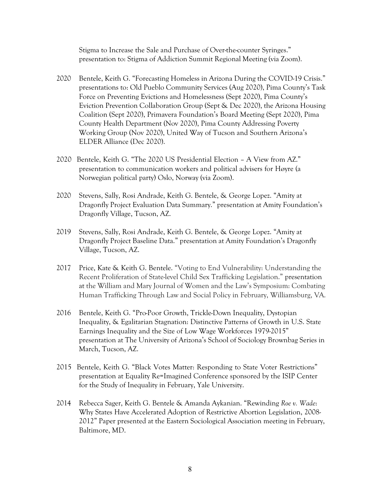Stigma to Increase the Sale and Purchase of Over-the-counter Syringes." presentation to: Stigma of Addiction Summit Regional Meeting (via Zoom).

- 2020 Bentele, Keith G. "Forecasting Homeless in Arizona During the COVID-19 Crisis." presentations to: Old Pueblo Community Services (Aug 2020), Pima County's Task Force on Preventing Evictions and Homelessness (Sept 2020), Pima County's Eviction Prevention Collaboration Group (Sept & Dec 2020), the Arizona Housing Coalition (Sept 2020), Primavera Foundation's Board Meeting (Sept 2020), Pima County Health Department (Nov 2020), Pima County Addressing Poverty Working Group (Nov 2020), United Way of Tucson and Southern Arizona's ELDER Alliance (Dec 2020).
- 2020 Bentele, Keith G. "The 2020 US Presidential Election A View from AZ." presentation to communication workers and political advisers for Høyre (a Norwegian political party) Oslo, Norway (via Zoom).
- 2020 Stevens, Sally, Rosi Andrade, Keith G. Bentele, & George Lopez. "Amity at Dragonfly Project Evaluation Data Summary." presentation at Amity Foundation's Dragonfly Village, Tucson, AZ.
- 2019 Stevens, Sally, Rosi Andrade, Keith G. Bentele, & George Lopez. "Amity at Dragonfly Project Baseline Data." presentation at Amity Foundation's Dragonfly Village, Tucson, AZ.
- 2017 Price, Kate & Keith G. Bentele. "Voting to End Vulnerability: Understanding the Recent Proliferation of State-level Child Sex Trafficking Legislation." presentation at the William and Mary Journal of Women and the Law's Symposium: Combating Human Trafficking Through Law and Social Policy in February, Williamsburg, VA.
- 2016 Bentele, Keith G. "Pro-Poor Growth, Trickle-Down Inequality, Dystopian Inequality, & Egalitarian Stagnation: Distinctive Patterns of Growth in U.S. State Earnings Inequality and the Size of Low Wage Workforces 1979-2015" presentation at The University of Arizona's School of Sociology Brownbag Series in March, Tucson, AZ.
- 2015 Bentele, Keith G. "Black Votes Matter: Responding to State Voter Restrictions" presentation at Equality Re=Imagined Conference sponsored by the ISIP Center for the Study of Inequality in February, Yale University.
- 2014 Rebecca Sager, Keith G. Bentele & Amanda Aykanian. "Rewinding *Roe v. Wade*: Why States Have Accelerated Adoption of Restrictive Abortion Legislation, 2008- 2012" Paper presented at the Eastern Sociological Association meeting in February, Baltimore, MD.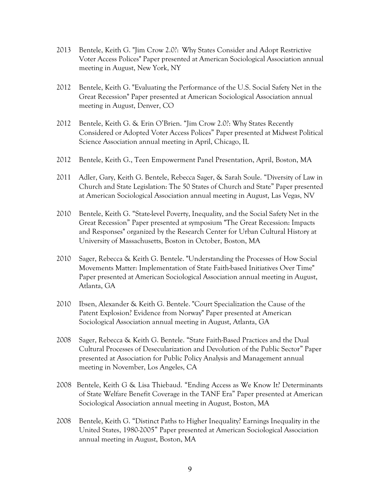- 2013 Bentele, Keith G. "Jim Crow 2.0?: Why States Consider and Adopt Restrictive Voter Access Polices" Paper presented at American Sociological Association annual meeting in August, New York, NY
- 2012 Bentele, Keith G. "Evaluating the Performance of the U.S. Social Safety Net in the Great Recession" Paper presented at American Sociological Association annual meeting in August, Denver, CO
- 2012 Bentele, Keith G. & Erin O'Brien. "Jim Crow 2.0?: Why States Recently Considered or Adopted Voter Access Polices" Paper presented at Midwest Political Science Association annual meeting in April, Chicago, IL
- 2012 Bentele, Keith G., Teen Empowerment Panel Presentation, April, Boston, MA
- 2011 Adler, Gary, Keith G. Bentele, Rebecca Sager, & Sarah Soule. "Diversity of Law in Church and State Legislation: The 50 States of Church and State" Paper presented at American Sociological Association annual meeting in August, Las Vegas, NV
- 2010 Bentele, Keith G. "State-level Poverty, Inequality, and the Social Safety Net in the Great Recession" Paper presented at symposium "The Great Recession: Impacts and Responses" organized by the Research Center for Urban Cultural History at University of Massachusetts, Boston in October, Boston, MA
- 2010 Sager, Rebecca & Keith G. Bentele. "Understanding the Processes of How Social Movements Matter: Implementation of State Faith-based Initiatives Over Time" Paper presented at American Sociological Association annual meeting in August, Atlanta, GA
- 2010 Ibsen, Alexander & Keith G. Bentele. "Court Specialization the Cause of the Patent Explosion? Evidence from Norway" Paper presented at American Sociological Association annual meeting in August, Atlanta, GA
- 2008 Sager, Rebecca & Keith G. Bentele. "State Faith-Based Practices and the Dual Cultural Processes of Desecularization and Devolution of the Public Sector" Paper presented at Association for Public Policy Analysis and Management annual meeting in November, Los Angeles, CA
- 2008 Bentele, Keith G & Lisa Thiebaud. "Ending Access as We Know It? Determinants of State Welfare Benefit Coverage in the TANF Era" Paper presented at American Sociological Association annual meeting in August, Boston, MA
- 2008 Bentele, Keith G. "Distinct Paths to Higher Inequality? Earnings Inequality in the United States, 1980-2005" Paper presented at American Sociological Association annual meeting in August, Boston, MA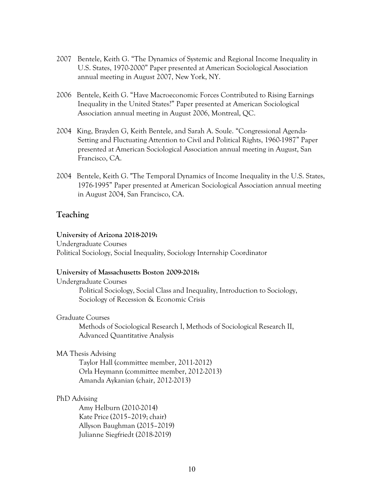- 2007 Bentele, Keith G. "The Dynamics of Systemic and Regional Income Inequality in U.S. States, 1970-2000" Paper presented at American Sociological Association annual meeting in August 2007, New York, NY.
- 2006 Bentele, Keith G. "Have Macroeconomic Forces Contributed to Rising Earnings Inequality in the United States?" Paper presented at American Sociological Association annual meeting in August 2006, Montreal, QC.
- 2004 King, Brayden G, Keith Bentele, and Sarah A. Soule. "Congressional Agenda-Setting and Fluctuating Attention to Civil and Political Rights, 1960-1987" Paper presented at American Sociological Association annual meeting in August, San Francisco, CA.
- 2004 Bentele, Keith G. "The Temporal Dynamics of Income Inequality in the U.S. States, 1976-1995" Paper presented at American Sociological Association annual meeting in August 2004, San Francisco, CA.

### **Teaching**

#### **University of Arizona 2018-2019:**

Undergraduate Courses Political Sociology, Social Inequality, Sociology Internship Coordinator

#### **University of Massachusetts Boston 2009-2018:**

Undergraduate Courses Political Sociology, Social Class and Inequality, Introduction to Sociology, Sociology of Recession & Economic Crisis

#### Graduate Courses

Methods of Sociological Research I, Methods of Sociological Research II, Advanced Quantitative Analysis

#### MA Thesis Advising

Taylor Hall (committee member, 2011-2012) Orla Heymann (committee member, 2012-2013) Amanda Aykanian (chair, 2012-2013)

#### PhD Advising

Amy Helburn (2010-2014) Kate Price (2015-2019; chair) Allyson Baughman (2015–2019) Julianne Siegfriedt (2018-2019)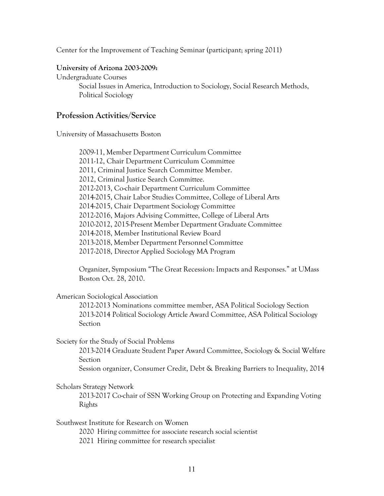Center for the Improvement of Teaching Seminar (participant; spring 2011)

#### **University of Arizona 2003-2009:**

Undergraduate Courses Social Issues in America, Introduction to Sociology, Social Research Methods, Political Sociology

### **Profession Activities/Service**

University of Massachusetts Boston

2009-11, Member Department Curriculum Committee 2011-12, Chair Department Curriculum Committee 2011, Criminal Justice Search Committee Member. 2012, Criminal Justice Search Committee. 2012-2013, Co-chair Department Curriculum Committee 2014-2015, Chair Labor Studies Committee, College of Liberal Arts 2014-2015, Chair Department Sociology Committee 2012-2016, Majors Advising Committee, College of Liberal Arts 2010-2012, 2015-Present Member Department Graduate Committee 2014-2018, Member Institutional Review Board 2013-2018, Member Department Personnel Committee 2017-2018, Director Applied Sociology MA Program

Organizer, Symposium "The Great Recession: Impacts and Responses." at UMass Boston Oct. 28, 2010.

#### American Sociological Association

2012-2013 Nominations committee member, ASA Political Sociology Section 2013-2014 Political Sociology Article Award Committee, ASA Political Sociology **Section** 

#### Society for the Study of Social Problems

2013-2014 Graduate Student Paper Award Committee, Sociology & Social Welfare Section

Session organizer, Consumer Credit, Debt & Breaking Barriers to Inequality, 2014

#### Scholars Strategy Network

2013-2017 Co-chair of SSN Working Group on Protecting and Expanding Voting Rights

Southwest Institute for Research on Women

2020 Hiring committee for associate research social scientist

2021 Hiring committee for research specialist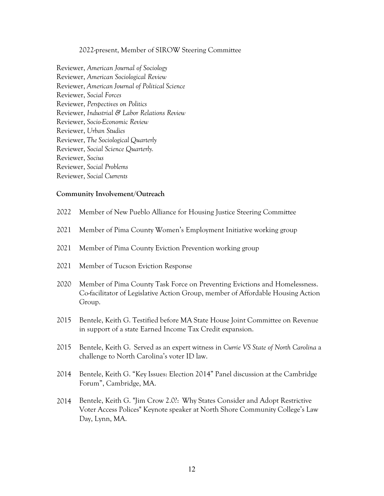#### 2022-present, Member of SIROW Steering Committee

Reviewer, *American Journal of Sociology*  Reviewer, *American Sociological Review*  Reviewer, *American Journal of Political Science*  Reviewer, *Social Forces* Reviewer, *Perspectives on Politics* Reviewer, *Industrial & Labor Relations Review* Reviewer, *Socio-Economic Review* Reviewer, *Urban Studies* Reviewer, *The Sociological Quarterly*  Reviewer, *Social Science Quarterly.*  Reviewer, *Socius* Reviewer, *Social Problems* Reviewer, *Social Currents*

#### **Community Involvement/Outreach**

- 2022 Member of New Pueblo Alliance for Housing Justice Steering Committee
- 2021 Member of Pima County Women's Employment Initiative working group
- 2021 Member of Pima County Eviction Prevention working group
- 2021 Member of Tucson Eviction Response
- 2020 Member of Pima County Task Force on Preventing Evictions and Homelessness. Co-facilitator of Legislative Action Group, member of Affordable Housing Action Group.
- 2015 Bentele, Keith G. Testified before MA State House Joint Committee on Revenue in support of a state Earned Income Tax Credit expansion.
- 2015 Bentele, Keith G. Served as an expert witness in *Currie VS State of North Carolina* a challenge to North Carolina's voter ID law.
- 2014 Bentele, Keith G. "Key Issues: Election 2014" Panel discussion at the Cambridge Forum", Cambridge, MA.
- 2014 Bentele, Keith G. "Jim Crow 2.0?: Why States Consider and Adopt Restrictive Voter Access Polices" Keynote speaker at North Shore Community College's Law Day, Lynn, MA.